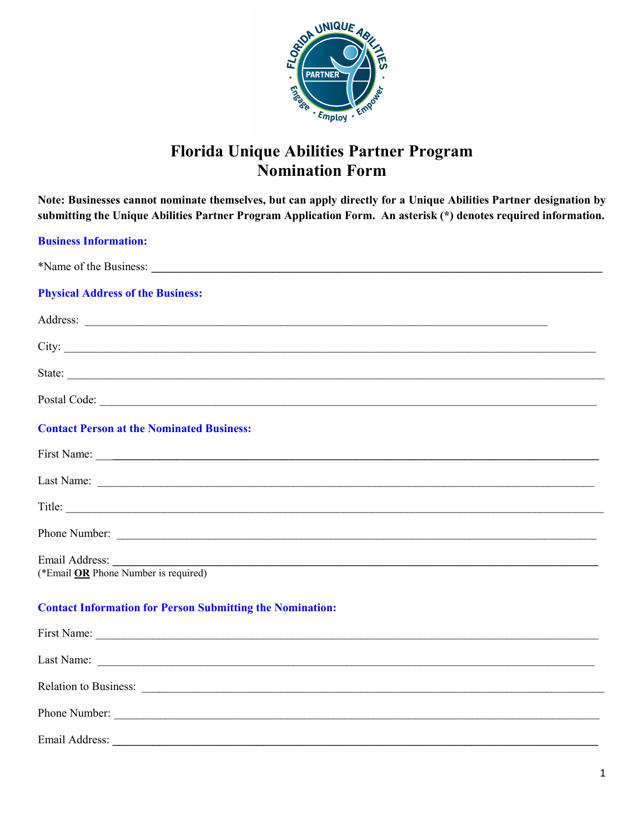

## **Florida Unique Abilities Partner Program Nomination Form**

Note: Businesses cannot nominate themselves, but can apply directly for a Unique Abilities Partner designation by submitting the Unique Abilities Partner Program Application Form. An asterisk (\*) denotes required information.

| <b>Business Information:</b>                                                                                                                                                                                                         |
|--------------------------------------------------------------------------------------------------------------------------------------------------------------------------------------------------------------------------------------|
|                                                                                                                                                                                                                                      |
| <b>Physical Address of the Business:</b>                                                                                                                                                                                             |
| Address: <u>and the contract of the contract of the contract of the contract of the contract of the contract of the contract of the contract of the contract of the contract of the contract of the contract of the contract of </u> |
| City:                                                                                                                                                                                                                                |
| State:                                                                                                                                                                                                                               |
|                                                                                                                                                                                                                                      |
| <b>Contact Person at the Nominated Business:</b>                                                                                                                                                                                     |
|                                                                                                                                                                                                                                      |
|                                                                                                                                                                                                                                      |
| Title:                                                                                                                                                                                                                               |
|                                                                                                                                                                                                                                      |
| Email Address: (*Email OR Phone Number is required)                                                                                                                                                                                  |
| <b>Contact Information for Person Submitting the Nomination:</b>                                                                                                                                                                     |
|                                                                                                                                                                                                                                      |
|                                                                                                                                                                                                                                      |
| Relation to Business:                                                                                                                                                                                                                |
| Phone Number:                                                                                                                                                                                                                        |

Email Address: